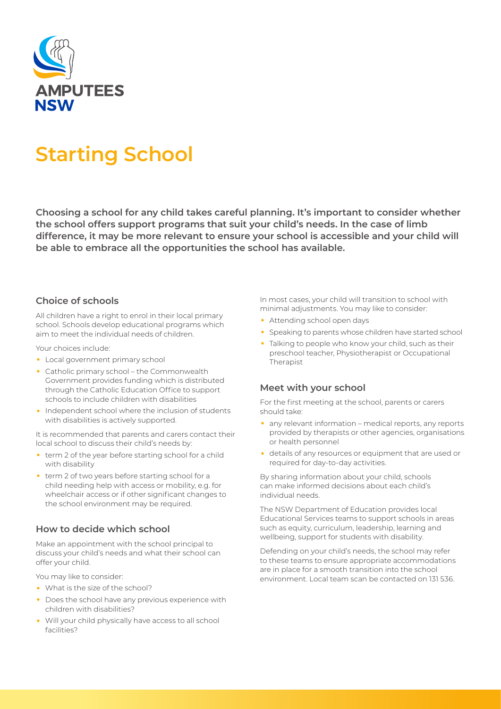

# **Starting School**

**Choosing a school for any child takes careful planning. It's important to consider whether the school offers support programs that suit your child's needs. In the case of limb difference, it may be more relevant to ensure your school is accessible and your child will be able to embrace all the opportunities the school has available.**

## **Choice of schools**

All children have a right to enrol in their local primary school. Schools develop educational programs which aim to meet the individual needs of children.

Your choices include:

- Local government primary school
- Catholic primary school the Commonwealth Government provides funding which is distributed through the Catholic Education Office to support schools to include children with disabilities
- Independent school where the inclusion of students with disabilities is actively supported.

It is recommended that parents and carers contact their local school to discuss their child's needs by:

- term 2 of the year before starting school for a child with disability
- term 2 of two years before starting school for a child needing help with access or mobility, e.g. for wheelchair access or if other significant changes to the school environment may be required.

## **How to decide which school**

Make an appointment with the school principal to discuss your child's needs and what their school can offer your child.

You may like to consider:

- What is the size of the school?
- Does the school have any previous experience with children with disabilities?
- Will your child physically have access to all school facilities?

In most cases, your child will transition to school with minimal adjustments. You may like to consider:

- Attending school open days
- Speaking to parents whose children have started school
- Talking to people who know your child, such as their preschool teacher, Physiotherapist or Occupational Therapist

#### **Meet with your school**

For the first meeting at the school, parents or carers should take:

- any relevant information medical reports, any reports provided by therapists or other agencies, organisations or health personnel
- details of any resources or equipment that are used or required for day-to-day activities.

By sharing information about your child, schools can make informed decisions about each child's individual needs.

The NSW Department of Education provides local Educational Services teams to support schools in areas such as equity, curriculum, leadership, learning and wellbeing, support for students with disability.

Defending on your child's needs, the school may refer to these teams to ensure appropriate accommodations are in place for a smooth transition into the school environment. Local team scan be contacted on 131 536.